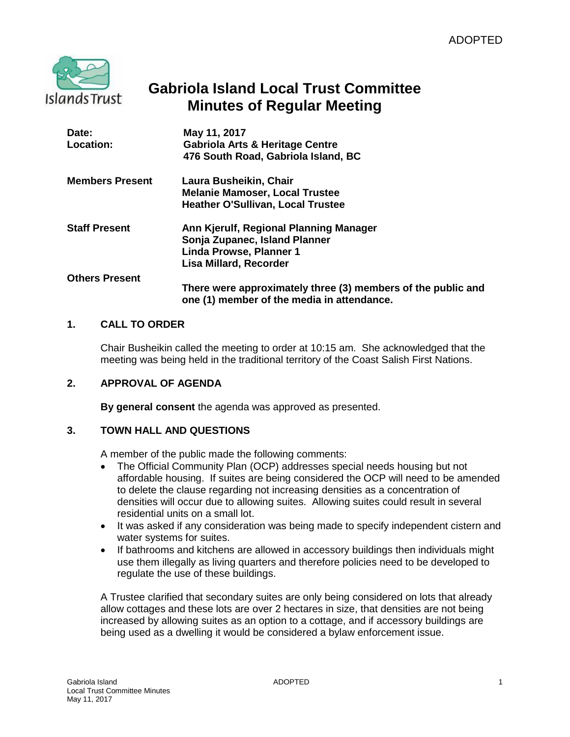

# **Gabriola Island Local Trust Committee Minutes of Regular Meeting**

| Date:                  | May 11, 2017                                                                                               |
|------------------------|------------------------------------------------------------------------------------------------------------|
| Location:              | <b>Gabriola Arts &amp; Heritage Centre</b>                                                                 |
|                        | 476 South Road, Gabriola Island, BC                                                                        |
| <b>Members Present</b> | Laura Busheikin, Chair                                                                                     |
|                        | <b>Melanie Mamoser, Local Trustee</b>                                                                      |
|                        | <b>Heather O'Sullivan, Local Trustee</b>                                                                   |
| <b>Staff Present</b>   | Ann Kjerulf, Regional Planning Manager                                                                     |
|                        | Sonja Zupanec, Island Planner                                                                              |
|                        | Linda Prowse, Planner 1                                                                                    |
|                        | Lisa Millard, Recorder                                                                                     |
| <b>Others Present</b>  |                                                                                                            |
|                        | There were approximately three (3) members of the public and<br>one (1) member of the media in attendance. |

## **1. CALL TO ORDER**

Chair Busheikin called the meeting to order at 10:15 am. She acknowledged that the meeting was being held in the traditional territory of the Coast Salish First Nations.

## **2. APPROVAL OF AGENDA**

**By general consent** the agenda was approved as presented.

## **3. TOWN HALL AND QUESTIONS**

A member of the public made the following comments:

- The Official Community Plan (OCP) addresses special needs housing but not affordable housing. If suites are being considered the OCP will need to be amended to delete the clause regarding not increasing densities as a concentration of densities will occur due to allowing suites. Allowing suites could result in several residential units on a small lot.
- It was asked if any consideration was being made to specify independent cistern and water systems for suites.
- If bathrooms and kitchens are allowed in accessory buildings then individuals might use them illegally as living quarters and therefore policies need to be developed to regulate the use of these buildings.

A Trustee clarified that secondary suites are only being considered on lots that already allow cottages and these lots are over 2 hectares in size, that densities are not being increased by allowing suites as an option to a cottage, and if accessory buildings are being used as a dwelling it would be considered a bylaw enforcement issue.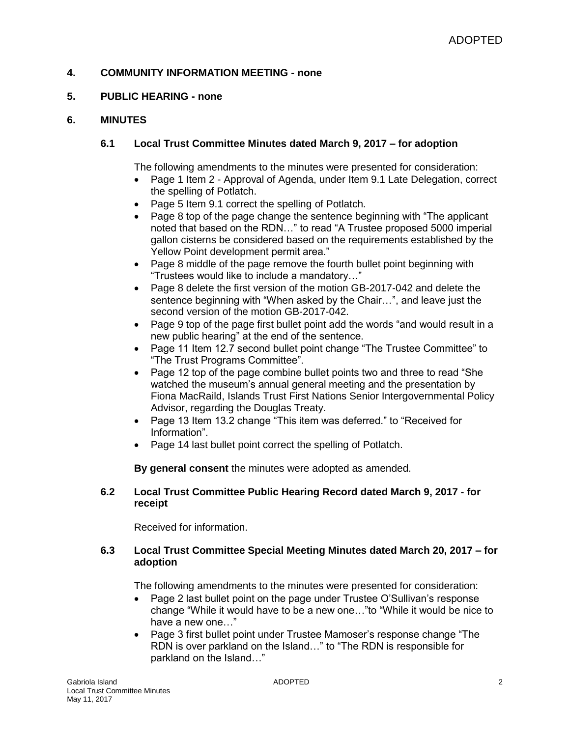## **4. COMMUNITY INFORMATION MEETING - none**

## **5. PUBLIC HEARING - none**

### **6. MINUTES**

## **6.1 Local Trust Committee Minutes dated March 9, 2017 – for adoption**

The following amendments to the minutes were presented for consideration:

- Page 1 Item 2 Approval of Agenda, under Item 9.1 Late Delegation, correct the spelling of Potlatch.
- Page 5 Item 9.1 correct the spelling of Potlatch.
- Page 8 top of the page change the sentence beginning with "The applicant noted that based on the RDN…" to read "A Trustee proposed 5000 imperial gallon cisterns be considered based on the requirements established by the Yellow Point development permit area."
- Page 8 middle of the page remove the fourth bullet point beginning with "Trustees would like to include a mandatory…"
- Page 8 delete the first version of the motion GB-2017-042 and delete the sentence beginning with "When asked by the Chair…", and leave just the second version of the motion GB-2017-042.
- Page 9 top of the page first bullet point add the words "and would result in a new public hearing" at the end of the sentence.
- Page 11 Item 12.7 second bullet point change "The Trustee Committee" to "The Trust Programs Committee".
- Page 12 top of the page combine bullet points two and three to read "She watched the museum's annual general meeting and the presentation by Fiona MacRaild, Islands Trust First Nations Senior Intergovernmental Policy Advisor, regarding the Douglas Treaty.
- Page 13 Item 13.2 change "This item was deferred." to "Received for Information".
- Page 14 last bullet point correct the spelling of Potlatch.

**By general consent** the minutes were adopted as amended.

### **6.2 Local Trust Committee Public Hearing Record dated March 9, 2017 - for receipt**

Received for information.

## **6.3 Local Trust Committee Special Meeting Minutes dated March 20, 2017 – for adoption**

The following amendments to the minutes were presented for consideration:

- Page 2 last bullet point on the page under Trustee O'Sullivan's response change "While it would have to be a new one…"to "While it would be nice to have a new one…"
- Page 3 first bullet point under Trustee Mamoser's response change "The RDN is over parkland on the Island…" to "The RDN is responsible for parkland on the Island…"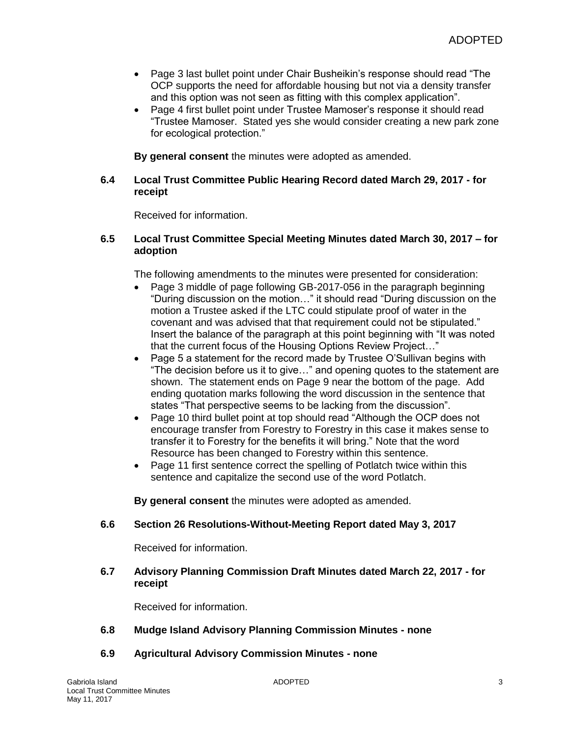- Page 3 last bullet point under Chair Busheikin's response should read "The OCP supports the need for affordable housing but not via a density transfer and this option was not seen as fitting with this complex application".
- Page 4 first bullet point under Trustee Mamoser's response it should read "Trustee Mamoser. Stated yes she would consider creating a new park zone for ecological protection."

**By general consent** the minutes were adopted as amended.

### **6.4 Local Trust Committee Public Hearing Record dated March 29, 2017 - for receipt**

Received for information.

#### **6.5 Local Trust Committee Special Meeting Minutes dated March 30, 2017 – for adoption**

The following amendments to the minutes were presented for consideration:

- Page 3 middle of page following GB-2017-056 in the paragraph beginning "During discussion on the motion…" it should read "During discussion on the motion a Trustee asked if the LTC could stipulate proof of water in the covenant and was advised that that requirement could not be stipulated." Insert the balance of the paragraph at this point beginning with "It was noted that the current focus of the Housing Options Review Project…"
- Page 5 a statement for the record made by Trustee O'Sullivan begins with "The decision before us it to give…" and opening quotes to the statement are shown. The statement ends on Page 9 near the bottom of the page. Add ending quotation marks following the word discussion in the sentence that states "That perspective seems to be lacking from the discussion".
- Page 10 third bullet point at top should read "Although the OCP does not encourage transfer from Forestry to Forestry in this case it makes sense to transfer it to Forestry for the benefits it will bring." Note that the word Resource has been changed to Forestry within this sentence.
- Page 11 first sentence correct the spelling of Potlatch twice within this sentence and capitalize the second use of the word Potlatch.

**By general consent** the minutes were adopted as amended.

## **6.6 Section 26 Resolutions-Without-Meeting Report dated May 3, 2017**

Received for information.

### **6.7 Advisory Planning Commission Draft Minutes dated March 22, 2017 - for receipt**

Received for information.

## **6.8 Mudge Island Advisory Planning Commission Minutes - none**

## **6.9 Agricultural Advisory Commission Minutes - none**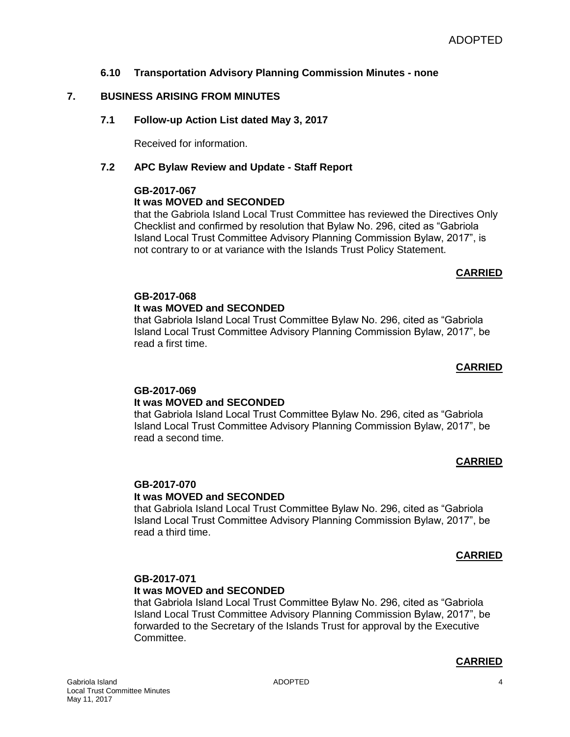## **6.10 Transportation Advisory Planning Commission Minutes - none**

## **7. BUSINESS ARISING FROM MINUTES**

## **7.1 Follow-up Action List dated May 3, 2017**

Received for information.

## **7.2 APC Bylaw Review and Update - Staff Report**

## **GB-2017-067**

## **It was MOVED and SECONDED**

that the Gabriola Island Local Trust Committee has reviewed the Directives Only Checklist and confirmed by resolution that Bylaw No. 296, cited as "Gabriola Island Local Trust Committee Advisory Planning Commission Bylaw, 2017", is not contrary to or at variance with the Islands Trust Policy Statement.

## **CARRIED**

# **GB-2017-068**

### **It was MOVED and SECONDED**

that Gabriola Island Local Trust Committee Bylaw No. 296, cited as "Gabriola Island Local Trust Committee Advisory Planning Commission Bylaw, 2017", be read a first time.

### **CARRIED**

# **GB-2017-069**

## **It was MOVED and SECONDED**

that Gabriola Island Local Trust Committee Bylaw No. 296, cited as "Gabriola Island Local Trust Committee Advisory Planning Commission Bylaw, 2017", be read a second time.

## **CARRIED**

#### **GB-2017-070 It was MOVED and SECONDED**

that Gabriola Island Local Trust Committee Bylaw No. 296, cited as "Gabriola Island Local Trust Committee Advisory Planning Commission Bylaw, 2017", be read a third time.

## **CARRIED**

## **GB-2017-071**

## **It was MOVED and SECONDED**

that Gabriola Island Local Trust Committee Bylaw No. 296, cited as "Gabriola Island Local Trust Committee Advisory Planning Commission Bylaw, 2017", be forwarded to the Secretary of the Islands Trust for approval by the Executive Committee.

## **CARRIED**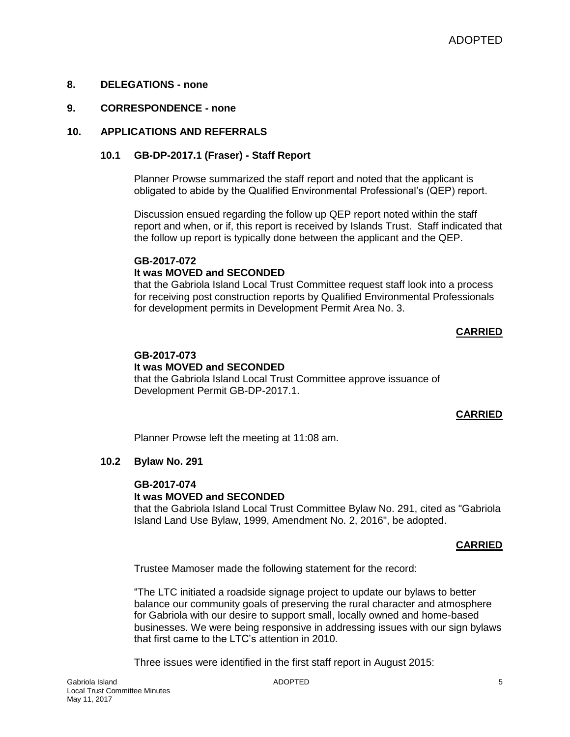### **8. DELEGATIONS - none**

#### **9. CORRESPONDENCE - none**

#### **10. APPLICATIONS AND REFERRALS**

#### **10.1 GB-DP-2017.1 (Fraser) - Staff Report**

Planner Prowse summarized the staff report and noted that the applicant is obligated to abide by the Qualified Environmental Professional's (QEP) report.

Discussion ensued regarding the follow up QEP report noted within the staff report and when, or if, this report is received by Islands Trust. Staff indicated that the follow up report is typically done between the applicant and the QEP.

#### **GB-2017-072 It was MOVED and SECONDED**

that the Gabriola Island Local Trust Committee request staff look into a process for receiving post construction reports by Qualified Environmental Professionals for development permits in Development Permit Area No. 3.

## **CARRIED**

### **GB-2017-073**

#### **It was MOVED and SECONDED**

that the Gabriola Island Local Trust Committee approve issuance of Development Permit GB-DP-2017.1.

## **CARRIED**

Planner Prowse left the meeting at 11:08 am.

#### **10.2 Bylaw No. 291**

#### **GB-2017-074**

## **It was MOVED and SECONDED**

that the Gabriola Island Local Trust Committee Bylaw No. 291, cited as "Gabriola Island Land Use Bylaw, 1999, Amendment No. 2, 2016", be adopted.

#### **CARRIED**

Trustee Mamoser made the following statement for the record:

"The LTC initiated a roadside signage project to update our bylaws to better balance our community goals of preserving the rural character and atmosphere for Gabriola with our desire to support small, locally owned and home-based businesses. We were being responsive in addressing issues with our sign bylaws that first came to the LTC's attention in 2010.

Three issues were identified in the first staff report in August 2015: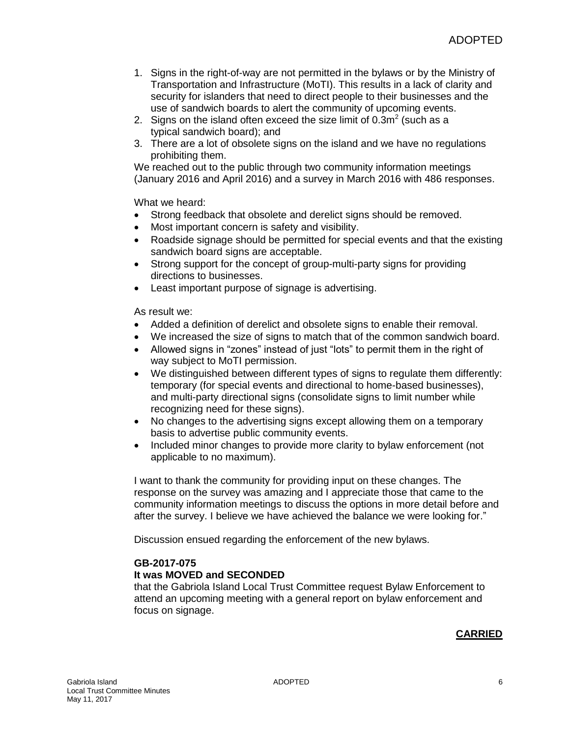- 1. Signs in the right-of-way are not permitted in the bylaws or by the Ministry of Transportation and Infrastructure (MoTI). This results in a lack of clarity and security for islanders that need to direct people to their businesses and the use of sandwich boards to alert the community of upcoming events.
- 2. Signs on the island often exceed the size limit of  $0.3m^2$  (such as a typical sandwich board); and
- 3. There are a lot of obsolete signs on the island and we have no regulations prohibiting them.

We reached out to the public through two community information meetings (January 2016 and April 2016) and a survey in March 2016 with 486 responses.

What we heard:

- Strong feedback that obsolete and derelict signs should be removed.
- Most important concern is safety and visibility.
- Roadside signage should be permitted for special events and that the existing sandwich board signs are acceptable.
- Strong support for the concept of group-multi-party signs for providing directions to businesses.
- Least important purpose of signage is advertising.

As result we:

- Added a definition of derelict and obsolete signs to enable their removal.
- We increased the size of signs to match that of the common sandwich board.
- Allowed signs in "zones" instead of just "lots" to permit them in the right of way subject to MoTI permission.
- We distinguished between different types of signs to regulate them differently: temporary (for special events and directional to home-based businesses), and multi-party directional signs (consolidate signs to limit number while recognizing need for these signs).
- No changes to the advertising signs except allowing them on a temporary basis to advertise public community events.
- Included minor changes to provide more clarity to bylaw enforcement (not applicable to no maximum).

I want to thank the community for providing input on these changes. The response on the survey was amazing and I appreciate those that came to the community information meetings to discuss the options in more detail before and after the survey. I believe we have achieved the balance we were looking for."

Discussion ensued regarding the enforcement of the new bylaws.

## **GB-2017-075**

## **It was MOVED and SECONDED**

that the Gabriola Island Local Trust Committee request Bylaw Enforcement to attend an upcoming meeting with a general report on bylaw enforcement and focus on signage.

## **CARRIED**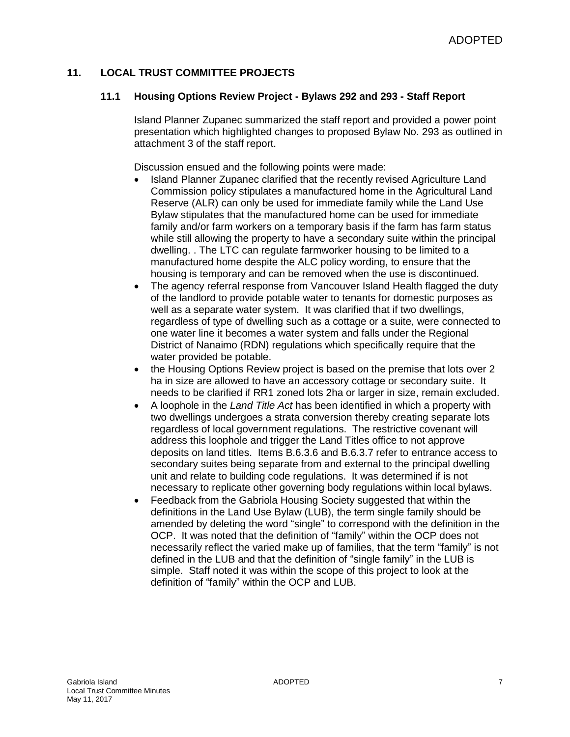## **11. LOCAL TRUST COMMITTEE PROJECTS**

### **11.1 Housing Options Review Project - Bylaws 292 and 293 - Staff Report**

Island Planner Zupanec summarized the staff report and provided a power point presentation which highlighted changes to proposed Bylaw No. 293 as outlined in attachment 3 of the staff report.

Discussion ensued and the following points were made:

- Island Planner Zupanec clarified that the recently revised Agriculture Land Commission policy stipulates a manufactured home in the Agricultural Land Reserve (ALR) can only be used for immediate family while the Land Use Bylaw stipulates that the manufactured home can be used for immediate family and/or farm workers on a temporary basis if the farm has farm status while still allowing the property to have a secondary suite within the principal dwelling. . The LTC can regulate farmworker housing to be limited to a manufactured home despite the ALC policy wording, to ensure that the housing is temporary and can be removed when the use is discontinued.
- The agency referral response from Vancouver Island Health flagged the duty of the landlord to provide potable water to tenants for domestic purposes as well as a separate water system. It was clarified that if two dwellings, regardless of type of dwelling such as a cottage or a suite, were connected to one water line it becomes a water system and falls under the Regional District of Nanaimo (RDN) regulations which specifically require that the water provided be potable.
- the Housing Options Review project is based on the premise that lots over 2 ha in size are allowed to have an accessory cottage or secondary suite. It needs to be clarified if RR1 zoned lots 2ha or larger in size, remain excluded.
- A loophole in the *Land Title Act* has been identified in which a property with two dwellings undergoes a strata conversion thereby creating separate lots regardless of local government regulations. The restrictive covenant will address this loophole and trigger the Land Titles office to not approve deposits on land titles. Items B.6.3.6 and B.6.3.7 refer to entrance access to secondary suites being separate from and external to the principal dwelling unit and relate to building code regulations. It was determined if is not necessary to replicate other governing body regulations within local bylaws.
- Feedback from the Gabriola Housing Society suggested that within the definitions in the Land Use Bylaw (LUB), the term single family should be amended by deleting the word "single" to correspond with the definition in the OCP. It was noted that the definition of "family" within the OCP does not necessarily reflect the varied make up of families, that the term "family" is not defined in the LUB and that the definition of "single family" in the LUB is simple. Staff noted it was within the scope of this project to look at the definition of "family" within the OCP and LUB.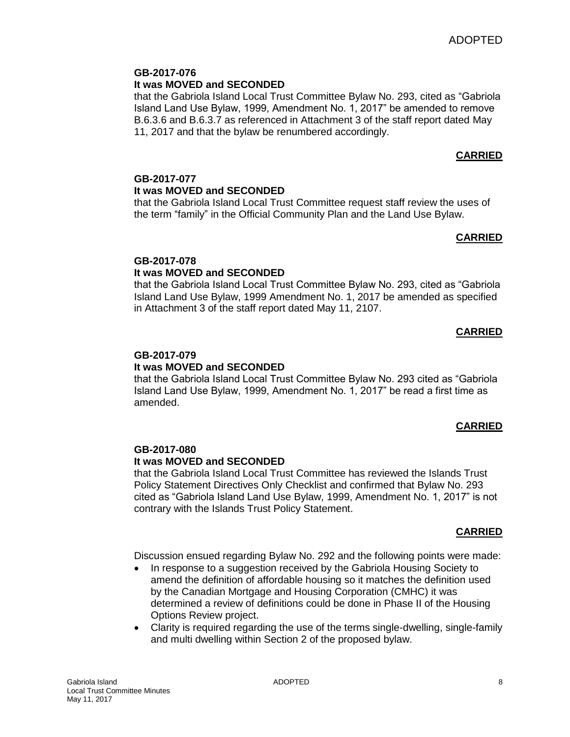# **GB-2017-076**

## **It was MOVED and SECONDED**

that the Gabriola Island Local Trust Committee Bylaw No. 293, cited as "Gabriola Island Land Use Bylaw, 1999, Amendment No. 1, 2017" be amended to remove B.6.3.6 and B.6.3.7 as referenced in Attachment 3 of the staff report dated May 11, 2017 and that the bylaw be renumbered accordingly.

# **CARRIED**

## **GB-2017-077 It was MOVED and SECONDED**

that the Gabriola Island Local Trust Committee request staff review the uses of the term "family" in the Official Community Plan and the Land Use Bylaw.

## **CARRIED**

## **GB-2017-078**

## **It was MOVED and SECONDED**

that the Gabriola Island Local Trust Committee Bylaw No. 293, cited as "Gabriola Island Land Use Bylaw, 1999 Amendment No. 1, 2017 be amended as specified in Attachment 3 of the staff report dated May 11, 2107.

## **CARRIED**

## **GB-2017-079**

## **It was MOVED and SECONDED**

that the Gabriola Island Local Trust Committee Bylaw No. 293 cited as "Gabriola Island Land Use Bylaw, 1999, Amendment No. 1, 2017" be read a first time as amended.

## **CARRIED**

## **GB-2017-080**

## **It was MOVED and SECONDED**

that the Gabriola Island Local Trust Committee has reviewed the Islands Trust Policy Statement Directives Only Checklist and confirmed that Bylaw No. 293 cited as "Gabriola Island Land Use Bylaw, 1999, Amendment No. 1, 2017" is not contrary with the Islands Trust Policy Statement.

## **CARRIED**

Discussion ensued regarding Bylaw No. 292 and the following points were made:

- In response to a suggestion received by the Gabriola Housing Society to amend the definition of affordable housing so it matches the definition used by the Canadian Mortgage and Housing Corporation (CMHC) it was determined a review of definitions could be done in Phase II of the Housing Options Review project.
- Clarity is required regarding the use of the terms single-dwelling, single-family and multi dwelling within Section 2 of the proposed bylaw.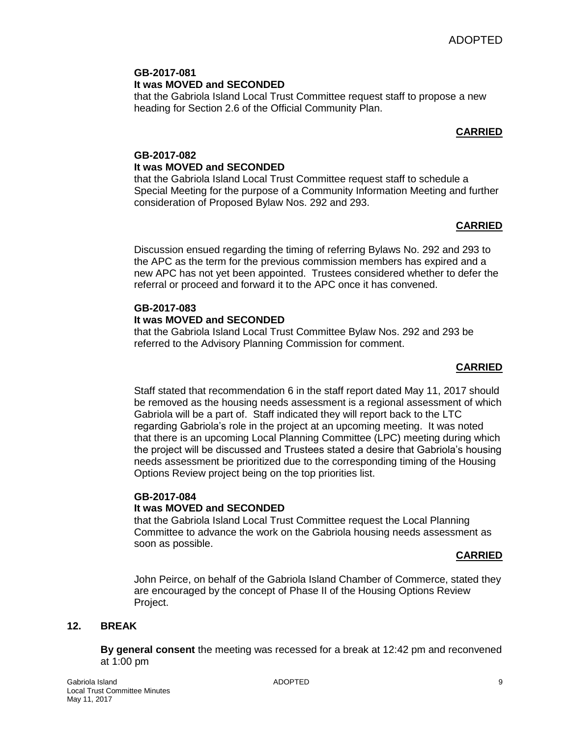## **GB-2017-081 It was MOVED and SECONDED**

that the Gabriola Island Local Trust Committee request staff to propose a new heading for Section 2.6 of the Official Community Plan.

## **CARRIED**

## **GB-2017-082 It was MOVED and SECONDED**

that the Gabriola Island Local Trust Committee request staff to schedule a Special Meeting for the purpose of a Community Information Meeting and further consideration of Proposed Bylaw Nos. 292 and 293.

## **CARRIED**

Discussion ensued regarding the timing of referring Bylaws No. 292 and 293 to the APC as the term for the previous commission members has expired and a new APC has not yet been appointed. Trustees considered whether to defer the referral or proceed and forward it to the APC once it has convened.

## **GB-2017-083**

## **It was MOVED and SECONDED**

that the Gabriola Island Local Trust Committee Bylaw Nos. 292 and 293 be referred to the Advisory Planning Commission for comment.

## **CARRIED**

Staff stated that recommendation 6 in the staff report dated May 11, 2017 should be removed as the housing needs assessment is a regional assessment of which Gabriola will be a part of. Staff indicated they will report back to the LTC regarding Gabriola's role in the project at an upcoming meeting. It was noted that there is an upcoming Local Planning Committee (LPC) meeting during which the project will be discussed and Trustees stated a desire that Gabriola's housing needs assessment be prioritized due to the corresponding timing of the Housing Options Review project being on the top priorities list.

### **GB-2017-084 It was MOVED and SECONDED**

that the Gabriola Island Local Trust Committee request the Local Planning Committee to advance the work on the Gabriola housing needs assessment as soon as possible.

## **CARRIED**

John Peirce, on behalf of the Gabriola Island Chamber of Commerce, stated they are encouraged by the concept of Phase II of the Housing Options Review Project.

## **12. BREAK**

**By general consent** the meeting was recessed for a break at 12:42 pm and reconvened at 1:00 pm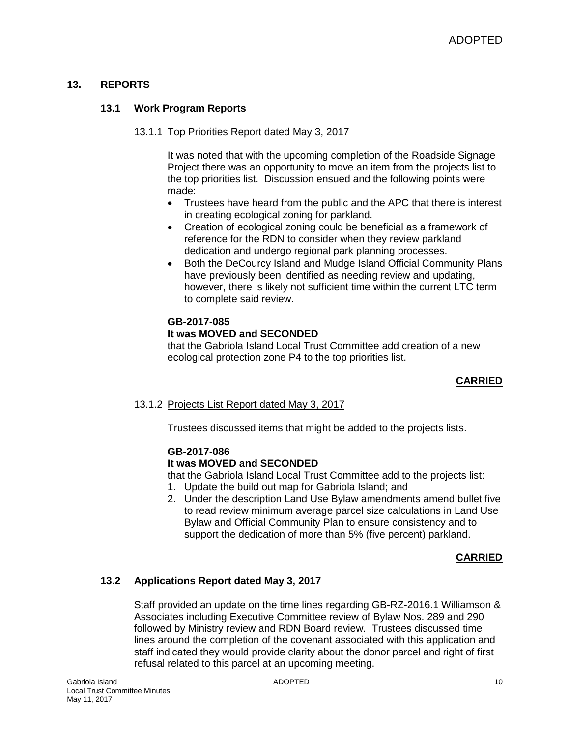## **13. REPORTS**

## **13.1 Work Program Reports**

#### 13.1.1 Top Priorities Report dated May 3, 2017

It was noted that with the upcoming completion of the Roadside Signage Project there was an opportunity to move an item from the projects list to the top priorities list. Discussion ensued and the following points were made:

- Trustees have heard from the public and the APC that there is interest in creating ecological zoning for parkland.
- Creation of ecological zoning could be beneficial as a framework of reference for the RDN to consider when they review parkland dedication and undergo regional park planning processes.
- Both the DeCourcy Island and Mudge Island Official Community Plans have previously been identified as needing review and updating, however, there is likely not sufficient time within the current LTC term to complete said review.

## **GB-2017-085**

## **It was MOVED and SECONDED**

that the Gabriola Island Local Trust Committee add creation of a new ecological protection zone P4 to the top priorities list.

## **CARRIED**

#### 13.1.2 Projects List Report dated May 3, 2017

Trustees discussed items that might be added to the projects lists.

## **GB-2017-086**

## **It was MOVED and SECONDED**

that the Gabriola Island Local Trust Committee add to the projects list:

- 1. Update the build out map for Gabriola Island; and
- 2. Under the description Land Use Bylaw amendments amend bullet five to read review minimum average parcel size calculations in Land Use Bylaw and Official Community Plan to ensure consistency and to support the dedication of more than 5% (five percent) parkland.

## **CARRIED**

## **13.2 Applications Report dated May 3, 2017**

Staff provided an update on the time lines regarding GB-RZ-2016.1 Williamson & Associates including Executive Committee review of Bylaw Nos. 289 and 290 followed by Ministry review and RDN Board review. Trustees discussed time lines around the completion of the covenant associated with this application and staff indicated they would provide clarity about the donor parcel and right of first refusal related to this parcel at an upcoming meeting.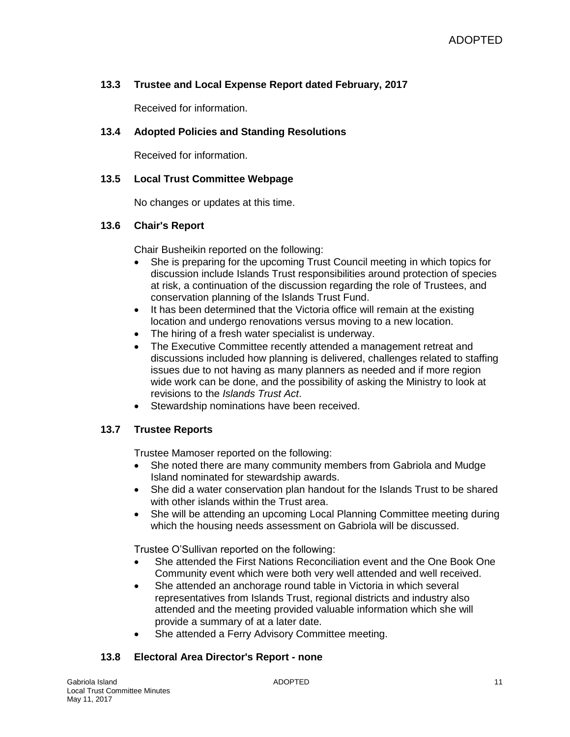## **13.3 Trustee and Local Expense Report dated February, 2017**

Received for information.

### **13.4 Adopted Policies and Standing Resolutions**

Received for information.

### **13.5 Local Trust Committee Webpage**

No changes or updates at this time.

## **13.6 Chair's Report**

Chair Busheikin reported on the following:

- She is preparing for the upcoming Trust Council meeting in which topics for discussion include Islands Trust responsibilities around protection of species at risk, a continuation of the discussion regarding the role of Trustees, and conservation planning of the Islands Trust Fund.
- It has been determined that the Victoria office will remain at the existing location and undergo renovations versus moving to a new location.
- The hiring of a fresh water specialist is underway.
- The Executive Committee recently attended a management retreat and discussions included how planning is delivered, challenges related to staffing issues due to not having as many planners as needed and if more region wide work can be done, and the possibility of asking the Ministry to look at revisions to the *Islands Trust Act*.
- Stewardship nominations have been received.

## **13.7 Trustee Reports**

Trustee Mamoser reported on the following:

- She noted there are many community members from Gabriola and Mudge Island nominated for stewardship awards.
- She did a water conservation plan handout for the Islands Trust to be shared with other islands within the Trust area.
- She will be attending an upcoming Local Planning Committee meeting during which the housing needs assessment on Gabriola will be discussed.

Trustee O'Sullivan reported on the following:

- She attended the First Nations Reconciliation event and the One Book One Community event which were both very well attended and well received.
- She attended an anchorage round table in Victoria in which several representatives from Islands Trust, regional districts and industry also attended and the meeting provided valuable information which she will provide a summary of at a later date.
- She attended a Ferry Advisory Committee meeting.

## **13.8 Electoral Area Director's Report - none**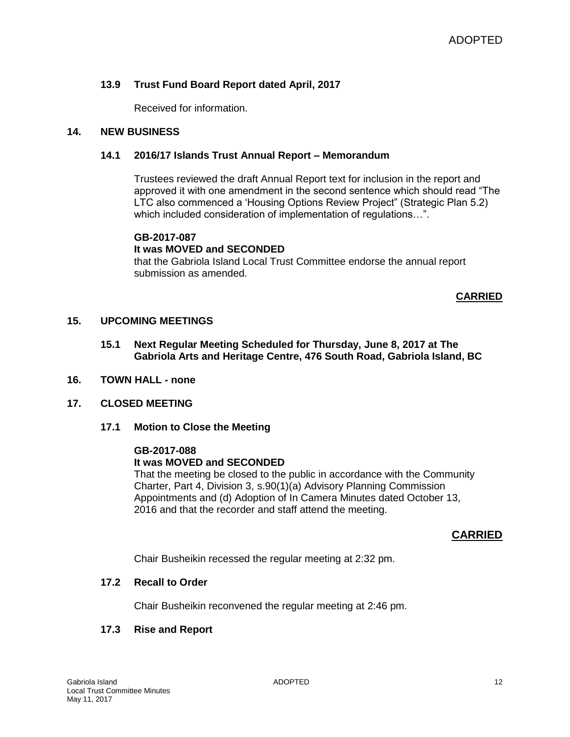## **13.9 Trust Fund Board Report dated April, 2017**

Received for information.

## **14. NEW BUSINESS**

### **14.1 2016/17 Islands Trust Annual Report – Memorandum**

Trustees reviewed the draft Annual Report text for inclusion in the report and approved it with one amendment in the second sentence which should read "The LTC also commenced a 'Housing Options Review Project" (Strategic Plan 5.2) which included consideration of implementation of regulations…".

#### **GB-2017-087**

### **It was MOVED and SECONDED**

that the Gabriola Island Local Trust Committee endorse the annual report submission as amended.

### **CARRIED**

### **15. UPCOMING MEETINGS**

- **15.1 Next Regular Meeting Scheduled for Thursday, June 8, 2017 at The Gabriola Arts and Heritage Centre, 476 South Road, Gabriola Island, BC**
- **16. TOWN HALL - none**
- **17. CLOSED MEETING**
	- **17.1 Motion to Close the Meeting**

#### **GB-2017-088**

#### **It was MOVED and SECONDED**

That the meeting be closed to the public in accordance with the Community Charter, Part 4, Division 3, s.90(1)(a) Advisory Planning Commission Appointments and (d) Adoption of In Camera Minutes dated October 13, 2016 and that the recorder and staff attend the meeting.

## **CARRIED**

Chair Busheikin recessed the regular meeting at 2:32 pm.

#### **17.2 Recall to Order**

Chair Busheikin reconvened the regular meeting at 2:46 pm.

## **17.3 Rise and Report**